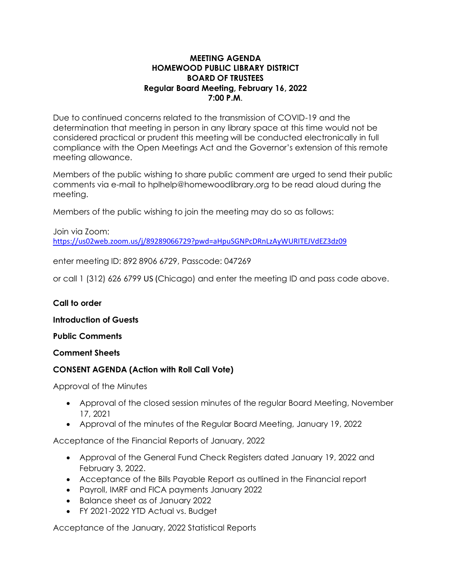## **MEETING AGENDA HOMEWOOD PUBLIC LIBRARY DISTRICT BOARD OF TRUSTEES Regular Board Meeting, February 16, 2022 7:00 P.M**.

Due to continued concerns related to the transmission of COVID-19 and the determination that meeting in person in any library space at this time would not be considered practical or prudent this meeting will be conducted electronically in full compliance with the Open Meetings Act and the Governor's extension of this remote meeting allowance.

Members of the public wishing to share public comment are urged to send their public comments via e-mail to hplhelp@homewoodlibrary.org to be read aloud during the meeting.

Members of the public wishing to join the meeting may do so as follows:

Join via Zoom: <https://us02web.zoom.us/j/89289066729?pwd=aHpuSGNPcDRnLzAyWURITEJVdEZ3dz09>

enter meeting ID: 892 8906 6729, Passcode: 047269

or call 1 (312) 626 6799 US (Chicago) and enter the meeting ID and pass code above.

### **Call to order**

**Introduction of Guests**

**Public Comments**

### **Comment Sheets**

### **CONSENT AGENDA (Action with Roll Call Vote)**

Approval of the Minutes

- Approval of the closed session minutes of the regular Board Meeting, November 17, 2021
- Approval of the minutes of the Regular Board Meeting, January 19, 2022

Acceptance of the Financial Reports of January, 2022

- Approval of the General Fund Check Registers dated January 19, 2022 and February 3, 2022.
- Acceptance of the Bills Payable Report as outlined in the Financial report
- Payroll, IMRF and FICA payments January 2022
- Balance sheet as of January 2022
- FY 2021-2022 YTD Actual vs. Budget

Acceptance of the January, 2022 Statistical Reports